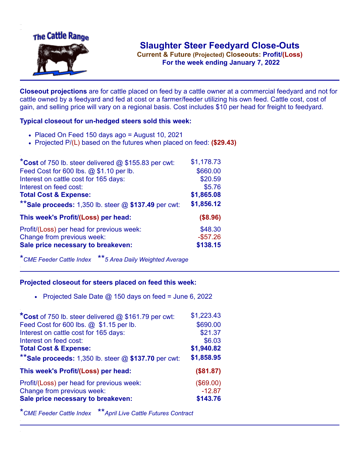

**Current & Future (Projected) Closeouts: Profit/(Loss)** .**For the week ending January 7, 2022**

**Closeout projections** are for cattle placed on feed by a cattle owner at a commercial feedyard and not for cattle owned by a feedyard and fed at cost or a farmer/feeder utilizing his own feed. Cattle cost, cost of gain, and selling price will vary on a regional basis. Cost includes \$10 per head for freight to feedyard.

## **Typical closeout for un-hedged steers sold this week:**

- Placed On Feed 150 days ago = August 10, 2021
- Projected P/(L) based on the futures when placed on feed: **(\$29.43)**

| *Cost of 750 lb. steer delivered @ \$155.83 per cwt:    | \$1,178.73  |
|---------------------------------------------------------|-------------|
| Feed Cost for 600 lbs. @ \$1.10 per lb.                 | \$660.00    |
| Interest on cattle cost for 165 days:                   | \$20.59     |
| Interest on feed cost:                                  | \$5.76      |
| <b>Total Cost &amp; Expense:</b>                        | \$1,865.08  |
| ** Sale proceeds: 1,350 lb. steer $@$ \$137.49 per cwt: | \$1,856.12  |
| This week's Profit/(Loss) per head:                     | (\$8.96)    |
| Profit/(Loss) per head for previous week:               | \$48.30     |
| Change from previous week:                              | $-$ \$57.26 |
| Sale price necessary to breakeven:                      | \$138.15    |

\**CME Feeder Cattle Index* \*\**5 Area Daily Weighted Average*

## **Projected closeout for steers placed on feed this week:**

• Projected Sale Date  $@$  150 days on feed = June 6, 2022

| *Cost of 750 lb. steer delivered @ \$161.79 per cwt:    | \$1,223.43 |
|---------------------------------------------------------|------------|
| Feed Cost for 600 lbs. @ \$1.15 per lb.                 | \$690.00   |
| Interest on cattle cost for 165 days:                   | \$21.37    |
| Interest on feed cost:                                  | \$6.03     |
| <b>Total Cost &amp; Expense:</b>                        | \$1,940.82 |
| ** Sale proceeds: 1,350 lb. steer $@$ \$137.70 per cwt: | \$1,858.95 |
| This week's Profit/(Loss) per head:                     | (\$81.87)  |
| Profit/(Loss) per head for previous week:               | (\$69.00)  |
| Change from previous week:                              | $-12.87$   |
| Sale price necessary to breakeven:                      | \$143.76   |
|                                                         |            |

\**CME Feeder Cattle Index* \*\**April Live Cattle Futures Contract*